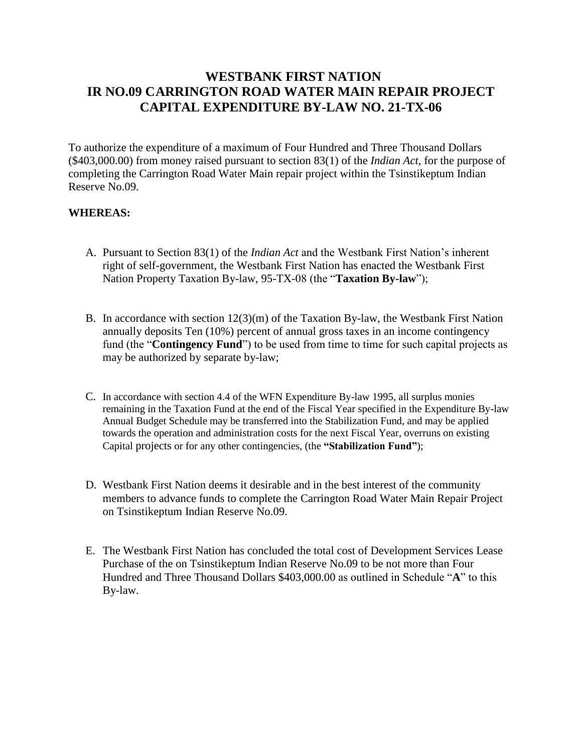# **WESTBANK FIRST NATION IR NO.09 CARRINGTON ROAD WATER MAIN REPAIR PROJECT CAPITAL EXPENDITURE BY-LAW NO. 21-TX-06**

To authorize the expenditure of a maximum of Four Hundred and Three Thousand Dollars (\$403,000.00) from money raised pursuant to section 83(1) of the *Indian Act*, for the purpose of completing the Carrington Road Water Main repair project within the Tsinstikeptum Indian Reserve No.09.

## **WHEREAS:**

- A. Pursuant to Section 83(1) of the *Indian Act* and the Westbank First Nation's inherent right of self-government, the Westbank First Nation has enacted the Westbank First Nation Property Taxation By-law, 95-TX-08 (the "**Taxation By-law**");
- B. In accordance with section 12(3)(m) of the Taxation By-law, the Westbank First Nation annually deposits Ten (10%) percent of annual gross taxes in an income contingency fund (the "**Contingency Fund**") to be used from time to time for such capital projects as may be authorized by separate by-law;
- C. In accordance with section 4.4 of the WFN Expenditure By-law 1995, all surplus monies remaining in the Taxation Fund at the end of the Fiscal Year specified in the Expenditure By-law Annual Budget Schedule may be transferred into the Stabilization Fund, and may be applied towards the operation and administration costs for the next Fiscal Year, overruns on existing Capital projects or for any other contingencies, (the **"Stabilization Fund"**);
- D. Westbank First Nation deems it desirable and in the best interest of the community members to advance funds to complete the Carrington Road Water Main Repair Project on Tsinstikeptum Indian Reserve No.09.
- E. The Westbank First Nation has concluded the total cost of Development Services Lease Purchase of the on Tsinstikeptum Indian Reserve No.09 to be not more than Four Hundred and Three Thousand Dollars \$403,000.00 as outlined in Schedule "**A**" to this By-law.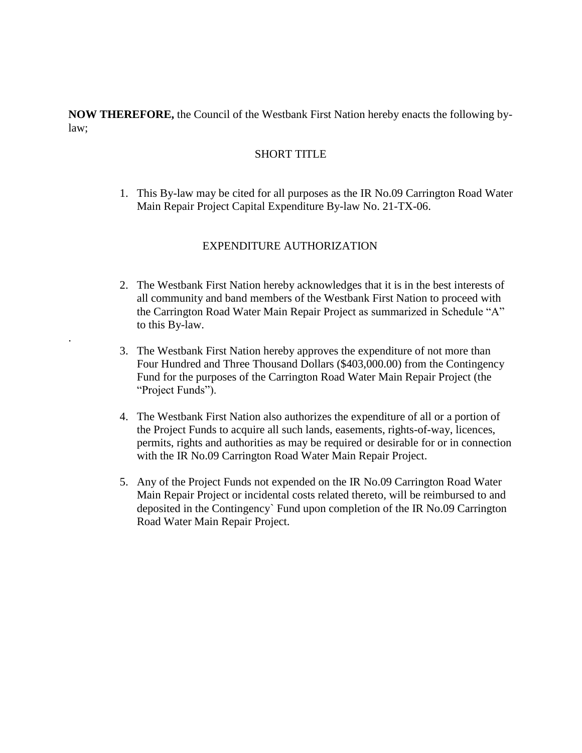**NOW THEREFORE,** the Council of the Westbank First Nation hereby enacts the following bylaw;

#### SHORT TITLE

1. This By-law may be cited for all purposes as the IR No.09 Carrington Road Water Main Repair Project Capital Expenditure By-law No. 21-TX-06.

## EXPENDITURE AUTHORIZATION

.

- 2. The Westbank First Nation hereby acknowledges that it is in the best interests of all community and band members of the Westbank First Nation to proceed with the Carrington Road Water Main Repair Project as summarized in Schedule "A" to this By-law.
- 3. The Westbank First Nation hereby approves the expenditure of not more than Four Hundred and Three Thousand Dollars (\$403,000.00) from the Contingency Fund for the purposes of the Carrington Road Water Main Repair Project (the "Project Funds").
- 4. The Westbank First Nation also authorizes the expenditure of all or a portion of the Project Funds to acquire all such lands, easements, rights-of-way, licences, permits, rights and authorities as may be required or desirable for or in connection with the IR No.09 Carrington Road Water Main Repair Project.
- 5. Any of the Project Funds not expended on the IR No.09 Carrington Road Water Main Repair Project or incidental costs related thereto, will be reimbursed to and deposited in the Contingency` Fund upon completion of the IR No.09 Carrington Road Water Main Repair Project.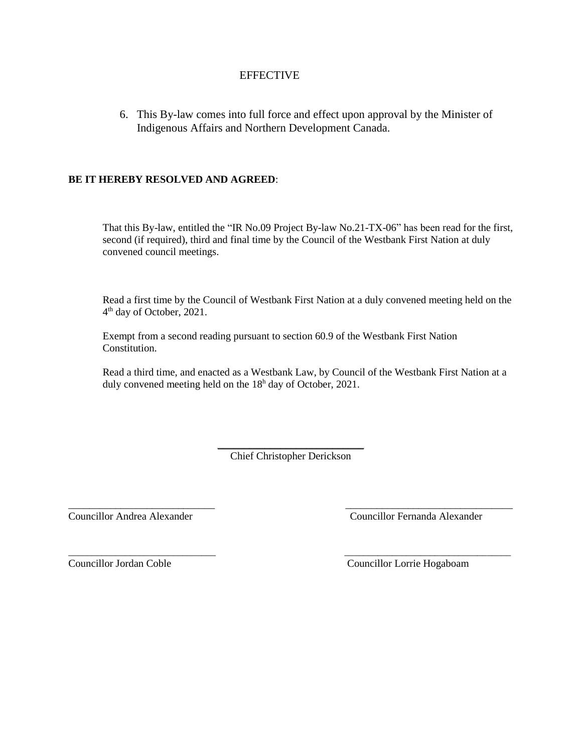### **EFFECTIVE**

6. This By-law comes into full force and effect upon approval by the Minister of Indigenous Affairs and Northern Development Canada.

#### **BE IT HEREBY RESOLVED AND AGREED**:

That this By-law, entitled the "IR No.09 Project By-law No.21-TX-06" has been read for the first, second (if required), third and final time by the Council of the Westbank First Nation at duly convened council meetings.

Read a first time by the Council of Westbank First Nation at a duly convened meeting held on the 4<sup>th</sup> day of October, 2021.

Exempt from a second reading pursuant to section 60.9 of the Westbank First Nation Constitution.

Read a third time, and enacted as a Westbank Law, by Council of the Westbank First Nation at a duly convened meeting held on the 18<sup>h</sup> day of October, 2021.

> *\_\_\_\_\_\_\_\_\_\_\_\_\_\_\_\_\_\_\_\_\_\_\_\_\_\_\_\_* Chief Christopher Derickson

\_\_\_\_\_\_\_\_\_\_\_\_\_\_\_\_\_\_\_\_\_\_\_\_\_\_\_\_ *\_\_\_\_\_\_\_\_\_\_\_\_\_\_\_\_\_\_\_\_\_\_\_\_\_\_\_\_\_\_\_\_*

 $\overline{\phantom{a}}$  , and the contribution of the contribution of the contribution of the contribution of the contribution of the contribution of the contribution of the contribution of the contribution of the contribution of the

Councillor Andrea Alexander Councillor Fernanda Alexander

Councillor Jordan Coble Councillor Lorrie Hogaboam